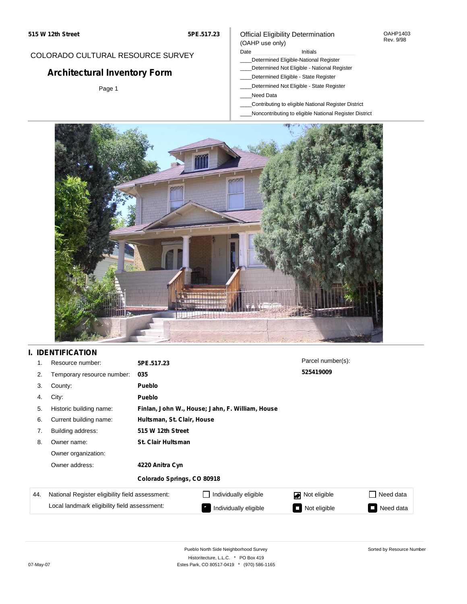#### OAHP1403 Rev. 9/98

## COLORADO CULTURAL RESOURCE SURVEY

# **Architectural Inventory Form**

Page 1

### (OAHP use only) Date **Initials** Initials

Official Eligibility Determination

- \_\_\_\_Determined Eligible-National Register
- \_\_\_\_Determined Not Eligible National Register
- \_\_\_\_Determined Eligible State Register
- \_\_\_\_Determined Not Eligible State Register
- \_\_\_\_Need Data
- \_\_\_\_Contributing to eligible National Register District
- \_\_\_\_Noncontributing to eligible National Register District



## **I. IDENTIFICATION**

| 1.  | Resource number:                                                                                | 5PE.517.23                                      |                       | Parcel number(s):                        |                                       |
|-----|-------------------------------------------------------------------------------------------------|-------------------------------------------------|-----------------------|------------------------------------------|---------------------------------------|
| 2.  | Temporary resource number:                                                                      | 035                                             |                       | 525419009                                |                                       |
| 3.  | County:                                                                                         | Pueblo                                          |                       |                                          |                                       |
| 4.  | City:                                                                                           | <b>Pueblo</b>                                   |                       |                                          |                                       |
| 5.  | Historic building name:                                                                         | Finlan, John W., House; Jahn, F. William, House |                       |                                          |                                       |
| 6.  | Current building name:                                                                          | Hultsman, St. Clair, House                      |                       |                                          |                                       |
| 7.  | Building address:                                                                               | 515 W 12th Street                               |                       |                                          |                                       |
| 8.  | Owner name:                                                                                     | <b>St. Clair Hultsman</b>                       |                       |                                          |                                       |
|     | Owner organization:                                                                             |                                                 |                       |                                          |                                       |
|     | Owner address:                                                                                  | 4220 Anitra Cyn                                 |                       |                                          |                                       |
|     |                                                                                                 | Colorado Springs, CO 80918                      |                       |                                          |                                       |
| 44. | National Register eligibility field assessment:<br>Local landmark eligibility field assessment: |                                                 | Individually eligible | Not eligible                             | Need data                             |
|     |                                                                                                 |                                                 | Individually eligible | Not eligible<br>$\overline{\phantom{a}}$ | Need data<br>$\overline{\phantom{a}}$ |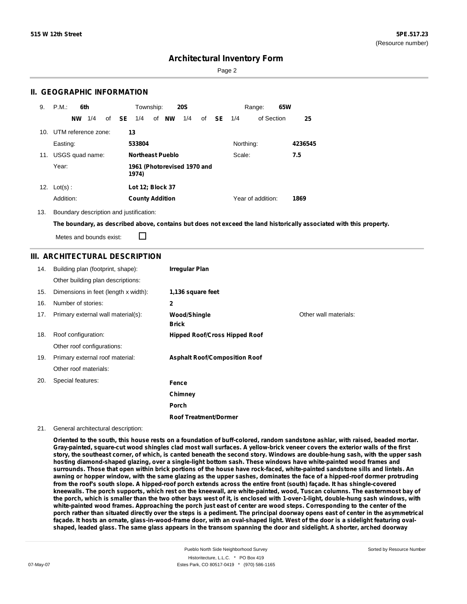Page 2

### **II. GEOGRAPHIC INFORMATION**

| 9.  | P.M.<br>6th         | Township:<br><b>20S</b>                                       | 65W<br>Range:             |
|-----|---------------------|---------------------------------------------------------------|---------------------------|
|     | 1/4<br><b>NW</b>    | of <b>SE</b><br>of <b>NW</b><br>1/4<br>1/4<br><b>SE</b><br>of | of Section<br>25<br>1/4   |
| 10. | UTM reference zone: | 13                                                            |                           |
|     | Easting:            | 533804                                                        | Northing:<br>4236545      |
| 11. | USGS quad name:     | <b>Northeast Pueblo</b>                                       | 7.5<br>Scale:             |
|     | Year:               | 1961 (Photorevised 1970 and<br>1974)                          |                           |
| 12. | $Lot(s)$ :          | Lot 12; Block 37                                              |                           |
|     | Addition:           | <b>County Addition</b>                                        | Year of addition:<br>1869 |

13. Boundary description and justification:

The boundary, as described above, contains but does not exceed the land historically associated with this property.

П Metes and bounds exist:

### **III. ARCHITECTURAL DESCRIPTION**

| 14. | Building plan (footprint, shape):    | <b>Irregular Plan</b>                |                       |
|-----|--------------------------------------|--------------------------------------|-----------------------|
|     | Other building plan descriptions:    |                                      |                       |
| 15. | Dimensions in feet (length x width): | 1,136 square feet                    |                       |
| 16. | Number of stories:                   | 2                                    |                       |
| 17. | Primary external wall material(s):   | <b>Wood/Shingle</b><br><b>Brick</b>  | Other wall materials: |
| 18. | Roof configuration:                  | <b>Hipped Roof/Cross Hipped Roof</b> |                       |
|     | Other roof configurations:           |                                      |                       |
| 19. | Primary external roof material:      | <b>Asphalt Roof/Composition Roof</b> |                       |
|     | Other roof materials:                |                                      |                       |
| 20. | Special features:                    | Fence                                |                       |
|     |                                      | Chimney                              |                       |
|     |                                      | Porch                                |                       |
|     |                                      | <b>Roof Treatment/Dormer</b>         |                       |

#### 21. General architectural description:

Oriented to the south, this house rests on a foundation of buff-colored, random sandstone ashlar, with raised, beaded mortar. Gray-painted, square-cut wood shingles clad most wall surfaces. A yellow-brick veneer covers the exterior walls of the first story, the southeast corner, of which, is canted beneath the second story. Windows are double-hung sash, with the upper sash **hosting diamond-shaped glazing, over a single-light bottom sash. These windows have white-painted wood frames and** surrounds. Those that open within brick portions of the house have rock-faced, white-painted sandstone sills and lintels. An awning or hopper window, with the same glazing as the upper sashes, dominates the face of a hipped-roof dormer protruding from the roof's south slope. A hipped-roof porch extends across the entire front (south) façade. It has shingle-covered kneewalls. The porch supports, which rest on the kneewall, are white-painted, wood, Tuscan columns. The easternmost bay of the porch, which is smaller than the two other bays west of it, is enclosed with 1-over-1-light, double-hung sash windows, with white-painted wood frames. Approaching the porch just east of center are wood steps. Corresponding to the center of the porch rather than situated directly over the steps is a pediment. The principal doorway opens east of center in the asymmetrical façade. It hosts an ornate, glass-in-wood-frame door, with an oval-shaped light. West of the door is a sidelight featuring ovalshaped, leaded glass. The same glass appears in the transom spanning the door and sidelight. A shorter, arched doorway

Sorted by Resource Number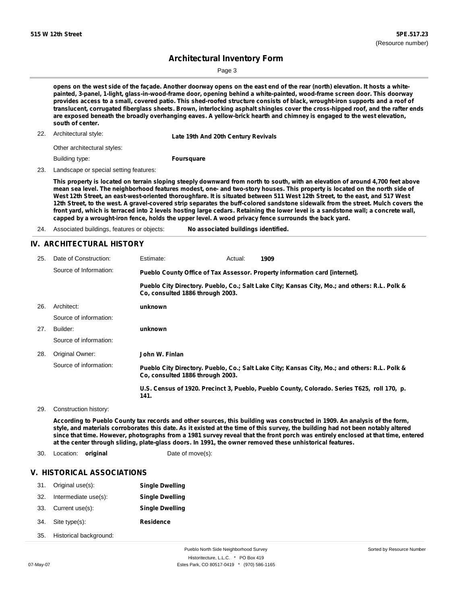Page 3

opens on the west side of the façade. Another doorway opens on the east end of the rear (north) elevation. It hosts a white**painted, 3-panel, 1-light, glass-in-wood-frame door, opening behind a white-painted, wood-frame screen door. This doorway** provides access to a small, covered patio. This shed-roofed structure consists of black, wrought-iron supports and a roof of translucent, corrugated fiberglass sheets. Brown, interlocking asphalt shingles cover the cross-hipped roof, and the rafter ends are exposed beneath the broadly overhanging eaves. A yellow-brick hearth and chimney is engaged to the west elevation, **south of center.**

22. Architectural style: **Late 19th And 20th Century Revivals**

Other architectural styles:

Building type:

**Foursquare**

23. Landscape or special setting features:

This property is located on terrain sloping steeply downward from north to south, with an elevation of around 4,700 feet above mean sea level. The neighborhood features modest, one- and two-story houses. This property is located on the north side of West 12th Street, an east-west-oriented thoroughfare. It is situated between 511 West 12th Street, to the east, and 517 West 12th Street, to the west. A gravel-covered strip separates the buff-colored sandstone sidewalk from the street. Mulch covers the front yard, which is terraced into 2 levels hosting large cedars. Retaining the lower level is a sandstone wall; a concrete wall, **capped by a wrought-iron fence, holds the upper level. A wood privacy fence surrounds the back yard.**

### **IV. ARCHITECTURAL HISTORY**

| 25. | Date of Construction:  | Estimate:                                                                                                                         | Actual: | 1909                                                                                          |
|-----|------------------------|-----------------------------------------------------------------------------------------------------------------------------------|---------|-----------------------------------------------------------------------------------------------|
|     | Source of Information: | Pueblo County Office of Tax Assessor. Property information card [internet].                                                       |         |                                                                                               |
|     |                        | Pueblo City Directory. Pueblo, Co.; Salt Lake City; Kansas City, Mo.; and others: R.L. Polk &<br>Co. consulted 1886 through 2003. |         |                                                                                               |
| 26. | Architect:<br>unknown  |                                                                                                                                   |         |                                                                                               |
|     | Source of information: |                                                                                                                                   |         |                                                                                               |
| 27. | Builder:               | unknown                                                                                                                           |         |                                                                                               |
|     | Source of information: |                                                                                                                                   |         |                                                                                               |
| 28. | Original Owner:        | John W. Finlan                                                                                                                    |         |                                                                                               |
|     | Source of information: | Co. consulted 1886 through 2003.                                                                                                  |         | Pueblo City Directory. Pueblo, Co.; Salt Lake City; Kansas City, Mo.; and others: R.L. Polk & |
|     |                        | 141.                                                                                                                              |         | U.S. Census of 1920. Precinct 3, Pueblo, Pueblo County, Colorado. Series T625, roll 170, p.   |

29. Construction history:

According to Pueblo County tax records and other sources, this building was constructed in 1909. An analysis of the form, style, and materials corroborates this date. As it existed at the time of this survey, the building had not been notably altered since that time. However, photographs from a 1981 survey reveal that the front porch was entirely enclosed at that time, entered **at the center through sliding, plate-glass doors. In 1991, the owner removed these unhistorical features.**

30. Location: **original** Date of move(s):

#### **V. HISTORICAL ASSOCIATIONS**

| 31. | Original use(s):       | <b>Single Dwelling</b> |
|-----|------------------------|------------------------|
| 32. | Intermediate use(s):   | <b>Single Dwelling</b> |
| 33. | Current use(s):        | <b>Single Dwelling</b> |
| 34. | Site type(s):          | <b>Residence</b>       |
| 35. | Historical background: |                        |

<sup>24.</sup> Associated buildings, features or objects: **No associated buildings identified.**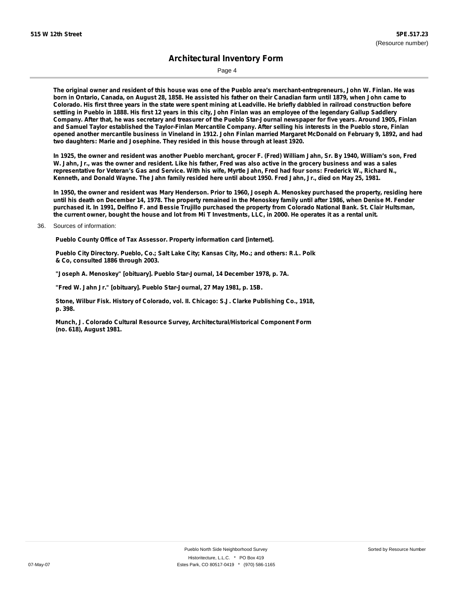Page 4

The original owner and resident of this house was one of the Pueblo area's merchant-entrepreneurs, John W. Finlan. He was born in Ontario, Canada, on August 28, 1858. He assisted his father on their Canadian farm until 1879, when John came to Colorado. His first three years in the state were spent mining at Leadville. He briefly dabbled in railroad construction before settling in Pueblo in 1888. His first 12 years in this city, John Finlan was an employee of the legendary Gallup Saddlery Company. After that, he was secretary and treasurer of the Pueblo Star-Journal newspaper for five years. Around 1905, Finlan and Samuel Taylor established the Taylor-Finlan Mercantile Company. After selling his interests in the Pueblo store, Finlan opened another mercantile business in Vineland in 1912. John Finlan married Margaret McDonald on February 9, 1892, and had **two daughters: Marie and Josephine. They resided in this house through at least 1920.**

In 1925, the owner and resident was another Pueblo merchant, grocer F. (Fred) William Jahn, Sr. By 1940, William's son, Fred W. Jahn, Jr., was the owner and resident. Like his father, Fred was also active in the grocery business and was a sales representative for Veteran's Gas and Service. With his wife, Myrtle Jahn, Fred had four sons: Frederick W., Richard N., Kenneth, and Donald Wayne. The Jahn family resided here until about 1950. Fred Jahn, Jr., died on May 25, 1981.

In 1950, the owner and resident was Mary Henderson. Prior to 1960, Joseph A. Menoskey purchased the property, residing here until his death on December 14, 1978. The property remained in the Menoskey family until after 1986, when Denise M. Fender purchased it. In 1991, Delfino F. and Bessie Trujillo purchased the property from Colorado National Bank. St. Clair Hultsman, the current owner, bought the house and lot from Mi T Investments, LLC, in 2000. He operates it as a rental unit.

#### 36. Sources of information:

**Pueblo County Office of Tax Assessor. Property information card [internet].**

**Pueblo City Directory. Pueblo, Co.; Salt Lake City; Kansas City, Mo.; and others: R.L. Polk & Co, consulted 1886 through 2003.**

**"Joseph A. Menoskey" [obituary]. Pueblo Star-Journal, 14 December 1978, p. 7A.**

**"Fred W. Jahn Jr." [obituary]. Pueblo Star-Journal, 27 May 1981, p. 15B.**

**Stone, Wilbur Fisk. History of Colorado, vol. II. Chicago: S.J. Clarke Publishing Co., 1918, p. 398.**

**Munch, J. Colorado Cultural Resource Survey, Architectural/Historical Component Form (no. 618), August 1981.**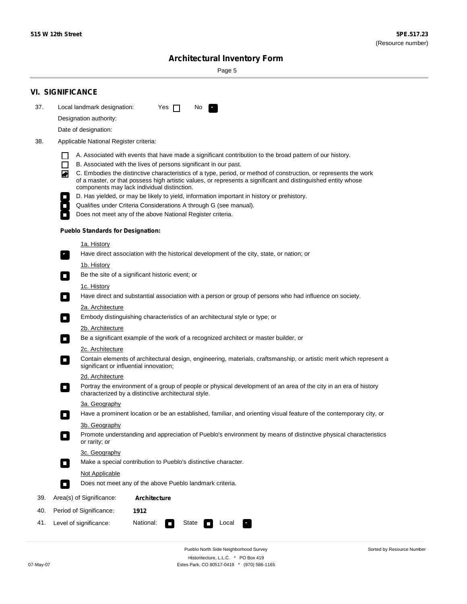Sorted by Resource Number

# **Architectural Inventory Form**

Page 5

|     | <b>VI. SIGNIFICANCE</b>                                                                                                                                                                                                                                                               |
|-----|---------------------------------------------------------------------------------------------------------------------------------------------------------------------------------------------------------------------------------------------------------------------------------------|
| 37. | Local landmark designation:<br>No<br>Yes $\Box$                                                                                                                                                                                                                                       |
|     | Designation authority:                                                                                                                                                                                                                                                                |
|     | Date of designation:                                                                                                                                                                                                                                                                  |
| 38. | Applicable National Register criteria:                                                                                                                                                                                                                                                |
|     | A. Associated with events that have made a significant contribution to the broad pattern of our history.                                                                                                                                                                              |
|     | B. Associated with the lives of persons significant in our past.<br>$\Box$                                                                                                                                                                                                            |
|     | C. Embodies the distinctive characteristics of a type, period, or method of construction, or represents the work<br>◙<br>of a master, or that possess high artistic values, or represents a significant and distinguished entity whose<br>components may lack individual distinction. |
|     | D. Has yielded, or may be likely to yield, information important in history or prehistory.                                                                                                                                                                                            |
|     | Qualifies under Criteria Considerations A through G (see manual).                                                                                                                                                                                                                     |
|     | Does not meet any of the above National Register criteria.                                                                                                                                                                                                                            |
|     | <b>Pueblo Standards for Designation:</b>                                                                                                                                                                                                                                              |
|     | <u>1a. History</u>                                                                                                                                                                                                                                                                    |
|     | Have direct association with the historical development of the city, state, or nation; or<br>$\overline{\phantom{a}}$ .                                                                                                                                                               |
|     | <u>1b. History</u>                                                                                                                                                                                                                                                                    |
|     | Be the site of a significant historic event; or<br>$\Box$                                                                                                                                                                                                                             |
|     | 1c. History<br>Have direct and substantial association with a person or group of persons who had influence on society.<br>$\overline{\phantom{a}}$                                                                                                                                    |
|     | 2a. Architecture                                                                                                                                                                                                                                                                      |
|     | Embody distinguishing characteristics of an architectural style or type; or<br>$\Box$                                                                                                                                                                                                 |
|     | 2b. Architecture                                                                                                                                                                                                                                                                      |
|     | Be a significant example of the work of a recognized architect or master builder, or<br>$\Box$                                                                                                                                                                                        |
|     | 2c. Architecture                                                                                                                                                                                                                                                                      |
|     | Contain elements of architectural design, engineering, materials, craftsmanship, or artistic merit which represent a<br>О<br>significant or influential innovation;                                                                                                                   |
|     | 2d. Architecture                                                                                                                                                                                                                                                                      |
|     | Portray the environment of a group of people or physical development of an area of the city in an era of history<br>$\Box$<br>characterized by a distinctive architectural style.                                                                                                     |
|     | 3a. Geography                                                                                                                                                                                                                                                                         |
|     | Have a prominent location or be an established, familiar, and orienting visual feature of the contemporary city, or<br>П                                                                                                                                                              |
|     | 3b. Geography                                                                                                                                                                                                                                                                         |
|     | Promote understanding and appreciation of Pueblo's environment by means of distinctive physical characteristics<br>or rarity; or                                                                                                                                                      |
|     | 3c. Geography                                                                                                                                                                                                                                                                         |
|     | Make a special contribution to Pueblo's distinctive character.<br>О                                                                                                                                                                                                                   |
|     | <b>Not Applicable</b>                                                                                                                                                                                                                                                                 |
|     | Does not meet any of the above Pueblo landmark criteria.<br>$\overline{\phantom{a}}$                                                                                                                                                                                                  |
| 39. | Area(s) of Significance:<br>Architecture                                                                                                                                                                                                                                              |
| 40. | Period of Significance:<br>1912                                                                                                                                                                                                                                                       |
| 41. | National:<br>Level of significance:<br>State<br>Local<br>$\overline{\phantom{a}}$<br>У.,                                                                                                                                                                                              |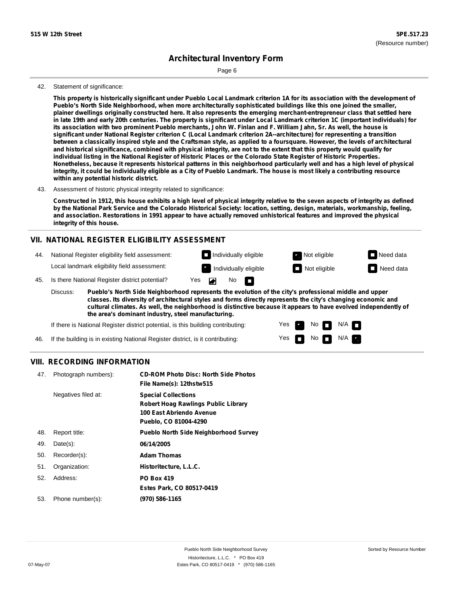Page 6

#### 42. Statement of significance:

This property is historically significant under Pueblo Local Landmark criterion 1A for its association with the development of **Pueblo's North Side Neighborhood, when more architecturally sophisticated buildings like this one joined the smaller,** plainer dwellings originally constructed here. It also represents the emerging merchant-entrepreneur class that settled here in late 19th and early 20th centuries. The property is significant under Local Landmark criterion 1C (important individuals) for its association with two prominent Pueblo merchants, John W. Finlan and F. William Jahn, Sr. As well, the house is **significant under National Register criterion C (Local Landmark criterion 2A--architecture) for representing a transition** between a classically inspired style and the Craftsman style, as applied to a foursquare. However, the levels of architectural and historical significance, combined with physical integrity, are not to the extent that this property would qualify for individual listing in the National Register of Historic Places or the Colorado State Register of Historic Properties. Nonetheless, because it represents historical patterns in this neighborhood particularly well and has a high level of physical integrity, it could be individually eligible as a City of Pueblo Landmark. The house is most likely a contributing resource **within any potential historic district.**

43. Assessment of historic physical integrity related to significance:

Constructed in 1912, this house exhibits a high level of physical integrity relative to the seven aspects of integrity as defined by the National Park Service and the Colorado Historical Society: location, setting, design, materials, workmanship, feeling, and association. Restorations in 1991 appear to have actually removed unhistorical features and improved the physical **integrity of this house.**

### **VII. NATIONAL REGISTER ELIGIBILITY ASSESSMENT**

**Individually eligible Not eligible** Not eligible **Need data** 44. National Register eligibility field assessment: Local landmark eligibility field assessment: Individually eligible **Not eligible** Not eligible **Not eligible** Need data  $\blacksquare$ No 45. Is there National Register district potential? Yes **In** 

**Pueblo's North Side Neighborhood represents the evolution of the city's professional middle and upper classes. Its diversity of architectural styles and forms directly represents the city's changing economic and cultural climates. As well, the neighborhood is distinctive because it appears to have evolved independently of the area's dominant industry, steel manufacturing.** Discuss:

> Yes Yes

No

 $N$ o  $N/A$ 

 $N/A$   $\Box$ 

If there is National Register district potential, is this building contributing:

46. If the building is in existing National Register district, is it contributing:

#### **VIII. RECORDING INFORMATION**

| 47. | Photograph numbers): | <b>CD-ROM Photo Disc: North Side Photos</b><br>File Name(s): 12thstw515                                                |
|-----|----------------------|------------------------------------------------------------------------------------------------------------------------|
|     | Negatives filed at:  | <b>Special Collections</b><br>Robert Hoag Rawlings Public Library<br>100 East Abriendo Avenue<br>Pueblo, CO 81004-4290 |
| 48. | Report title:        | <b>Pueblo North Side Neighborhood Survey</b>                                                                           |
| 49. | $Date(s)$ :          | 06/14/2005                                                                                                             |
| 50. | Recorder(s):         | <b>Adam Thomas</b>                                                                                                     |
| 51. | Organization:        | Historitecture, L.L.C.                                                                                                 |
| 52. | Address:             | <b>PO Box 419</b>                                                                                                      |
|     |                      | Estes Park, CO 80517-0419                                                                                              |
| 53. | Phone number(s):     | (970) 586-1165                                                                                                         |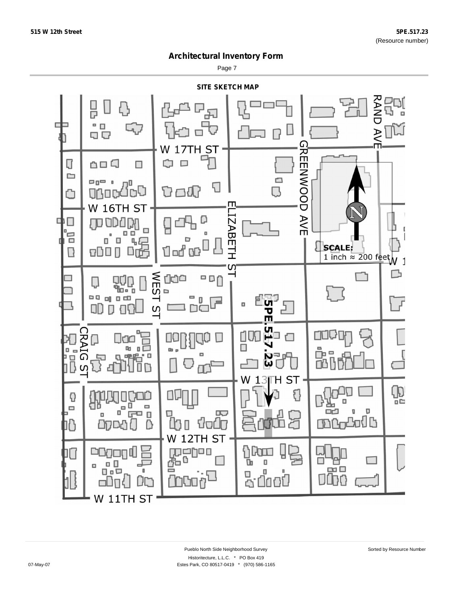Page 7